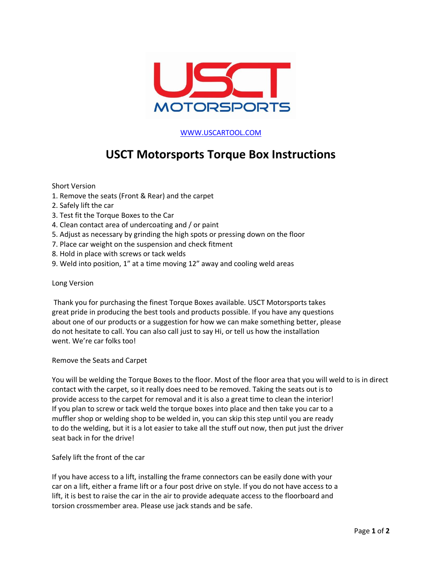

[WWW.USCARTOOL.COM](http://www.uscartool.com/)

## **USCT Motorsports Torque Box Instructions**

Short Version

- 1. Remove the seats (Front & Rear) and the carpet
- 2. Safely lift the car
- 3. Test fit the Torque Boxes to the Car
- 4. Clean contact area of undercoating and / or paint
- 5. Adjust as necessary by grinding the high spots or pressing down on the floor
- 7. Place car weight on the suspension and check fitment
- 8. Hold in place with screws or tack welds
- 9. Weld into position, 1" at a time moving 12" away and cooling weld areas

## Long Version

Thank you for purchasing the finest Torque Boxes available. USCT Motorsports takes great pride in producing the best tools and products possible. If you have any questions about one of our products or a suggestion for how we can make something better, please do not hesitate to call. You can also call just to say Hi, or tell us how the installation went. We're car folks too!

## Remove the Seats and Carpet

You will be welding the Torque Boxes to the floor. Most of the floor area that you will weld to is in direct contact with the carpet, so it really does need to be removed. Taking the seats out is to provide access to the carpet for removal and it is also a great time to clean the interior! If you plan to screw or tack weld the torque boxes into place and then take you car to a muffler shop or welding shop to be welded in, you can skip this step until you are ready to do the welding, but it is a lot easier to take all the stuff out now, then put just the driver seat back in for the drive!

Safely lift the front of the car

If you have access to a lift, installing the frame connectors can be easily done with your car on a lift, either a frame lift or a four post drive on style. If you do not have access to a lift, it is best to raise the car in the air to provide adequate access to the floorboard and torsion crossmember area. Please use jack stands and be safe.